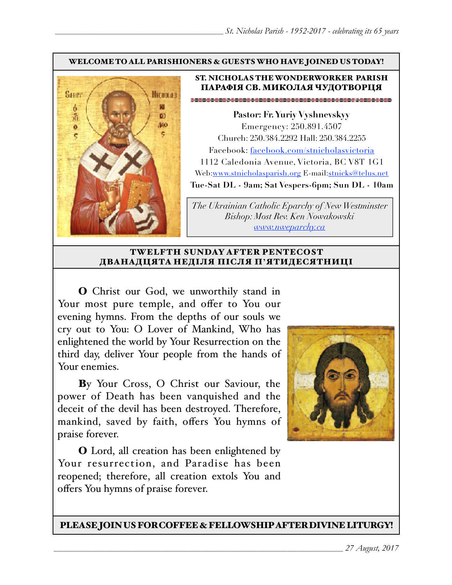#### WELCOME TO ALL PARISHIONERS & GUESTS WHO HAVE JOINED US TODAY!



### ST. NICHOLAS THE WONDERWORKER PARISH ПАРАФІЯ СВ. МИКОЛАЯ ЧУДОТВОРЦЯ

**Pastor: Fr. Yuriy Vyshnevskyy** Emergency: 250.891.4507 Church: 250.384.2292 Hall: 250.384.2255 Facebook: facebook.com/stnicholasvictoria 1112 Caledonia Avenue, Victoria, BC V8T 1G1 Web[:www.stnicholasparish.org](http://www.stnicholasparish.org) E-mail:[stnicks@telus.net](mailto:stnicks@telus.net) **Tue-Sat DL - 9am; Sat Vespers-6pm; Sun DL - 10am**

*The Ukrainian Catholic Eparchy of New Westminster Bishop: Most Rev. Ken Nowakowski [www.nweparchy.ca](http://www.nweparchy.ca)*

#### TWELFTH SUNDAY AFTER PENTECOST ДВАНАДЦЯТА НЕДІЛЯ ПІСЛЯ П**'**ЯТИДЕСЯТНИЦІ

O Christ our God, we unworthily stand in Your most pure temple, and offer to You our evening hymns. From the depths of our souls we cry out to You: O Lover of Mankind, Who has enlightened the world by Your Resurrection on the third day, deliver Your people from the hands of Your enemies.

By Your Cross, O Christ our Saviour, the power of Death has been vanquished and the deceit of the devil has been destroyed. Therefore, mankind, saved by faith, offers You hymns of praise forever.

O Lord, all creation has been enlightened by Your resurrection, and Paradise has been reopened; therefore, all creation extols You and offers You hymns of praise forever.



PLEASE JOIN US FOR COFFEE & FELLOWSHIP AFTER DIVINE LITURGY!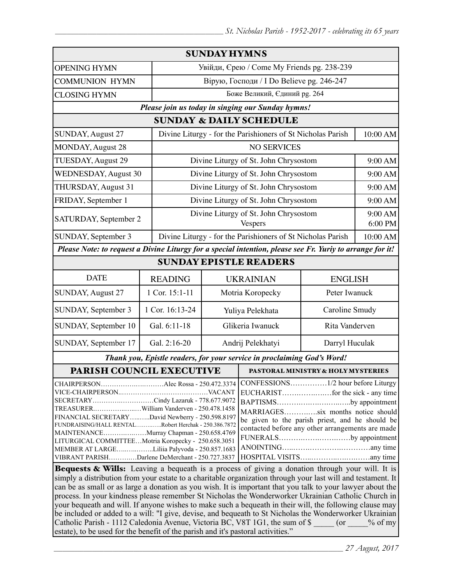| <b>SUNDAY HYMNS</b>                                                                                                                                                                                                                                                                          |                 |                                                             |                                                                                                                                                                                                                                    |                                                             |                |  |
|----------------------------------------------------------------------------------------------------------------------------------------------------------------------------------------------------------------------------------------------------------------------------------------------|-----------------|-------------------------------------------------------------|------------------------------------------------------------------------------------------------------------------------------------------------------------------------------------------------------------------------------------|-------------------------------------------------------------|----------------|--|
| <b>OPENING HYMN</b>                                                                                                                                                                                                                                                                          |                 |                                                             | Увійди, Єрею / Come My Friends pg. 238-239                                                                                                                                                                                         |                                                             |                |  |
| <b>COMMUNION HYMN</b>                                                                                                                                                                                                                                                                        |                 | Вірую, Господи / I Do Believe pg. 246-247                   |                                                                                                                                                                                                                                    |                                                             |                |  |
| <b>CLOSING HYMN</b>                                                                                                                                                                                                                                                                          |                 | Боже Великий, Єдиний рg. 264                                |                                                                                                                                                                                                                                    |                                                             |                |  |
| Please join us today in singing our Sunday hymns!                                                                                                                                                                                                                                            |                 |                                                             |                                                                                                                                                                                                                                    |                                                             |                |  |
| <b>SUNDAY &amp; DAILY SCHEDULE</b>                                                                                                                                                                                                                                                           |                 |                                                             |                                                                                                                                                                                                                                    |                                                             |                |  |
| SUNDAY, August 27                                                                                                                                                                                                                                                                            |                 | Divine Liturgy - for the Parishioners of St Nicholas Parish |                                                                                                                                                                                                                                    | 10:00 AM                                                    |                |  |
| MONDAY, August 28                                                                                                                                                                                                                                                                            |                 | <b>NO SERVICES</b>                                          |                                                                                                                                                                                                                                    |                                                             |                |  |
| TUESDAY, August 29                                                                                                                                                                                                                                                                           |                 | Divine Liturgy of St. John Chrysostom                       |                                                                                                                                                                                                                                    |                                                             | 9:00 AM        |  |
| WEDNESDAY, August 30                                                                                                                                                                                                                                                                         |                 | Divine Liturgy of St. John Chrysostom                       |                                                                                                                                                                                                                                    |                                                             | 9:00 AM        |  |
| THURSDAY, August 31                                                                                                                                                                                                                                                                          |                 | Divine Liturgy of St. John Chrysostom                       |                                                                                                                                                                                                                                    |                                                             | 9:00 AM        |  |
| FRIDAY, September 1                                                                                                                                                                                                                                                                          |                 |                                                             | Divine Liturgy of St. John Chrysostom                                                                                                                                                                                              |                                                             | 9:00 AM        |  |
| SATURDAY, September 2                                                                                                                                                                                                                                                                        |                 | Divine Liturgy of St. John Chrysostom<br><b>Vespers</b>     |                                                                                                                                                                                                                                    | 9:00 AM<br>6:00 PM                                          |                |  |
| SUNDAY, September 3                                                                                                                                                                                                                                                                          |                 |                                                             |                                                                                                                                                                                                                                    | Divine Liturgy - for the Parishioners of St Nicholas Parish |                |  |
| Please Note: to request a Divine Liturgy for a special intention, please see Fr. Yuriy to arrange for it!                                                                                                                                                                                    |                 |                                                             |                                                                                                                                                                                                                                    |                                                             |                |  |
| <b>SUNDAY EPISTLE READERS</b>                                                                                                                                                                                                                                                                |                 |                                                             |                                                                                                                                                                                                                                    |                                                             |                |  |
| <b>DATE</b>                                                                                                                                                                                                                                                                                  | <b>READING</b>  |                                                             |                                                                                                                                                                                                                                    | <b>UKRAINIAN</b><br><b>ENGLISH</b>                          |                |  |
| SUNDAY, August 27                                                                                                                                                                                                                                                                            | 1 Cor. 15:1-11  |                                                             | Motria Koropecky                                                                                                                                                                                                                   | Peter Iwanuck                                               |                |  |
| SUNDAY, September 3                                                                                                                                                                                                                                                                          | 1 Cor. 16:13-24 | Yuliya Pelekhata                                            |                                                                                                                                                                                                                                    | Caroline Smudy                                              |                |  |
| SUNDAY, September 10                                                                                                                                                                                                                                                                         | Gal. 6:11-18    | Glikeria Iwanuck                                            |                                                                                                                                                                                                                                    | Rita Vanderven                                              |                |  |
| SUNDAY, September 17                                                                                                                                                                                                                                                                         | Gal. 2:16-20    | Andrij Pelekhatyi                                           |                                                                                                                                                                                                                                    |                                                             | Darryl Huculak |  |
| Thank you, Epistle readers, for your service in proclaiming God's Word!                                                                                                                                                                                                                      |                 |                                                             |                                                                                                                                                                                                                                    |                                                             |                |  |
| PARISH COUNCIL EXECUTIVE                                                                                                                                                                                                                                                                     |                 |                                                             | PASTORAL MINISTRY & HOLY MYSTERIES                                                                                                                                                                                                 |                                                             |                |  |
| CHAIRPERSONAlec Rossa - 250.472.3374<br>SECRETARYCindy Lazaruk - 778.677.9072<br>FINANCIAL SECRETARYDavid Newberry - 250.598.8197<br>FUNDRAISING/HALL RENTALRobert Herchak - 250.386.7872<br>MAINTENANCEMurray Chapman - 250.658.4769<br>LITURGICAL COMMITTEEMotria Koropecky - 250.658.3051 |                 |                                                             | CONFESSIONS1/2 hour before Liturgy<br>BAPTISMSby appointment<br>MARRIAGESsix months notice should<br>be given to the parish priest, and he should be<br>contacted before any other arrangements are made<br>FUNERALSby appointment |                                                             |                |  |
| MEMBER AT LARGELiliia Palyvoda - 250.857.1683<br>VIBRANT PARISHDarlene DeMerchant - 250.727.3837<br>Bequests & Wills: Leaving a bequeath is a process of giving a donation through your will. It is                                                                                          |                 |                                                             |                                                                                                                                                                                                                                    |                                                             |                |  |
|                                                                                                                                                                                                                                                                                              |                 |                                                             |                                                                                                                                                                                                                                    |                                                             |                |  |

simply a distribution from your estate to a charitable organization through your last will and testament. It can be as small or as large a donation as you wish. It is important that you talk to your lawyer about the process. In your kindness please remember St Nicholas the Wonderworker Ukrainian Catholic Church in your bequeath and will. If anyone wishes to make such a bequeath in their will, the following clause may be included or added to a will: "I give, devise, and bequeath to St Nicholas the Wonderworker Ukrainian Catholic Parish - 1112 Caledonia Avenue, Victoria BC, V8T 1G1, the sum of \$  $\qquad \qquad$  (or  $\qquad \qquad$  % of my estate), to be used for the benefit of the parish and it's pastoral activities."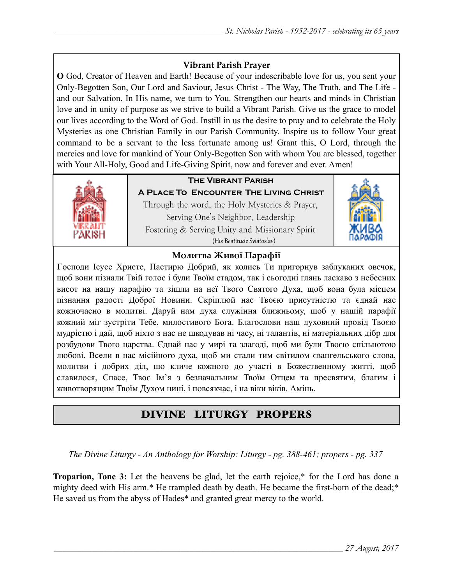## **Vibrant Parish Prayer**

**O** God, Creator of Heaven and Earth! Because of your indescribable love for us, you sent your Only-Begotten Son, Our Lord and Saviour, Jesus Christ - The Way, The Truth, and The Life and our Salvation. In His name, we turn to You. Strengthen our hearts and minds in Christian love and in unity of purpose as we strive to build a Vibrant Parish. Give us the grace to model our lives according to the Word of God. Instill in us the desire to pray and to celebrate the Holy Mysteries as one Christian Family in our Parish Community. Inspire us to follow Your great command to be a servant to the less fortunate among us! Grant this, O Lord, through the mercies and love for mankind of Your Only-Begotten Son with whom You are blessed, together with Your All-Holy, Good and Life-Giving Spirit, now and forever and ever. Amen!



## **The Vibrant Parish**

**A Place To Encounter The Living Christ** Through the word, the Holy Mysteries & Prayer, Serving One's Neighbor, Leadership Fostering & Serving Unity and Missionary Spirit (His Beatitude Sviatoslav)



### **Молитва Живої Парафії**

**Г**осподи Ісусе Христе, Пастирю Добрий, як колись Ти пригорнув заблуканих овечок, щоб вони пізнали Твій голос і були Твоїм стадом, так і сьогодні глянь ласкаво з небесних висот на нашу парафію та зішли на неї Твого Святого Духа, щоб вона була місцем пізнання радості Доброї Новини. Скріплюй нас Твоєю присутністю та єднай нас кожночасно в молитві. Даруй нам духа служіння ближньому, щоб у нашій парафії кожний міг зустріти Тебе, милостивого Бога. Благослови наш духовний провід Твоєю мудрістю і дай, щоб ніхто з нас не шкодував ні часу, ні талантів, ні матеріальних дібр для розбудови Твого царства. Єднай нас у мирі та злагоді, щоб ми були Твоєю спільнотою любові. Всели в нас місійного духа, щоб ми стали тим світилом євангельського слова, молитви і добрих діл, що кличе кожного до участі в Божественному житті, щоб славилося, Спасе, Твоє Ім'я з безначальним Твоїм Отцем та пресвятим, благим і животворящим Твоїм Духом нині, і повсякчас, і на віки віків. Амінь.

# DIVINE LITURGY PROPERS

### *The Divine Liturgy - An Anthology for Worship: Liturgy - pg. 388-461; propers - pg. 337*

**Troparion, Tone 3:** Let the heavens be glad, let the earth rejoice,\* for the Lord has done a mighty deed with His arm.\* He trampled death by death. He became the first-born of the dead;\* He saved us from the abyss of Hades\* and granted great mercy to the world.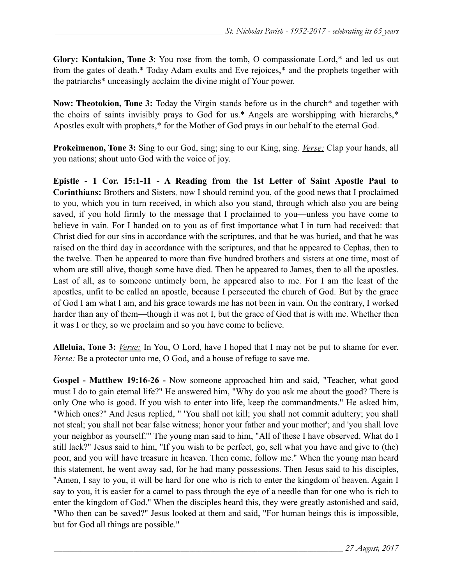**Glory: Kontakion, Tone 3**: You rose from the tomb, O compassionate Lord,\* and led us out from the gates of death.\* Today Adam exults and Eve rejoices,\* and the prophets together with the patriarchs\* unceasingly acclaim the divine might of Your power.

**Now: Theotokion, Tone 3:** Today the Virgin stands before us in the church\* and together with the choirs of saints invisibly prays to God for us.\* Angels are worshipping with hierarchs,\* Apostles exult with prophets,\* for the Mother of God prays in our behalf to the eternal God.

**Prokeimenon, Tone 3:** Sing to our God, sing; sing to our King, sing. *Verse:* Clap your hands, all you nations; shout unto God with the voice of joy.

**Epistle - 1 Cor. 15:1-11 - A Reading from the 1st Letter of Saint Apostle Paul to Corinthians:** Brothers and Sisters*,* now I should remind you, of the good news that I proclaimed to you, which you in turn received, in which also you stand, through which also you are being saved, if you hold firmly to the message that I proclaimed to you—unless you have come to believe in vain. For I handed on to you as of first importance what I in turn had received: that Christ died for our sins in accordance with the scriptures, and that he was buried, and that he was raised on the third day in accordance with the scriptures, and that he appeared to Cephas, then to the twelve. Then he appeared to more than five hundred brothers and sisters at one time, most of whom are still alive, though some have died. Then he appeared to James, then to all the apostles. Last of all, as to someone untimely born, he appeared also to me. For I am the least of the apostles, unfit to be called an apostle, because I persecuted the church of God. But by the grace of God I am what I am, and his grace towards me has not been in vain. On the contrary, I worked harder than any of them—though it was not I, but the grace of God that is with me. Whether then it was I or they, so we proclaim and so you have come to believe.

**Alleluia, Tone 3:** *Verse:* In You, O Lord, have I hoped that I may not be put to shame for ever. *Verse:* Be a protector unto me, O God, and a house of refuge to save me.

**Gospel - Мatthew 19:16-26 -** Now someone approached him and said, "Teacher, what good must I do to gain eternal life?" He answered him, "Why do you ask me about the good? There is only One who is good. If you wish to enter into life, keep the commandments." He asked him, "Which ones?" And Jesus replied, " 'You shall not kill; you shall not commit adultery; you shall not steal; you shall not bear false witness; honor your father and your mother'; and 'you shall love your neighbor as yourself.'" The young man said to him, "All of these I have observed. What do I still lack?" Jesus said to him, "If you wish to be perfect, go, sell what you have and give to (the) poor, and you will have treasure in heaven. Then come, follow me." When the young man heard this statement, he went away sad, for he had many possessions. Then Jesus said to his disciples, "Amen, I say to you, it will be hard for one who is rich to enter the kingdom of heaven. Again I say to you, it is easier for a camel to pass through the eye of a needle than for one who is rich to enter the kingdom of God." When the disciples heard this, they were greatly astonished and said, "Who then can be saved?" Jesus looked at them and said, "For human beings this is impossible, but for God all things are possible."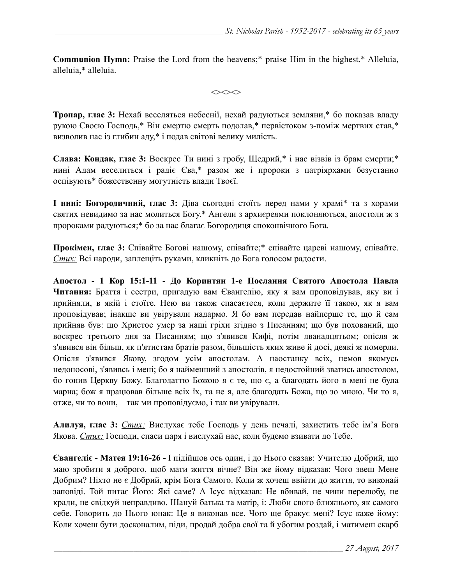**Communion Hymn:** Praise the Lord from the heavens;\* praise Him in the highest.\* Alleluia, alleluia,\* alleluia.

 $\iff$ 

**Тропар, глас 3:** Нехай веселяться небеснії, нехай радуються земляни,\* бо показав владу рукою Своєю Господь,\* Він смертю смерть подолав,\* первістоком з-поміж мертвих став,\* визволив нас із глибин аду,\* і подав світові велику милість.

**Слава: Кондак, глас 3:** Воскрес Ти нині з гробу, Щедрий,\* і нас візвів із брам смерти;\* нині Адам веселиться і радіє Єва,\* разом же і пророки з патріярхами безустанно оспівують\* божественну могутність влади Твоєї.

**І нині: Богородичний, глас 3:** Діва сьогодні стоїть перед нами у храмі\* та з хорами святих невидимо за нас молиться Богу.\* Ангели з архиєреями поклоняються, апостоли ж з пророками радуються;\* бо за нас благає Богородиця споконвічного Бога.

**Прокімен, глас 3:** Співайте Богові нашому, співайте;\* співайте цареві нашому, співайте. *Стих:* Всі народи, заплещіть руками, кликніть до Бога голосом радости.

**Апостол - 1 Кор 15:1-11 - До Коринтян 1-e Послання Святого Апостола Павла Читання:** Браття і сестри, пригадую вам Євангелію, яку я вам проповідував, яку ви і прийняли, в якій і стоїте. Нею ви також спасаєтеся, коли держите її такою, як я вам проповідував; інакше ви увірували надармо. Я бо вам передав найперше те, що й сам прийняв був: що Христос умер за наші гріхи згідно з Писанням; що був похований, що воскрес третього дня за Писанням; що з'явився Кифі, потім дванадцятьом; опісля ж з'явився він більш, як п'ятистам братів разом, більшість яких живе й досі, деякі ж померли. Опісля з'явився Якову, згодом усім апостолам. А наостанку всіх, немов якомусь недоносові, з'явивсь і мені; бо я найменший з апостолів, я недостойний зватись апостолом, бо гонив Церкву Божу. Благодаттю Божою я є те, що є, а благодать його в мені не була марна; бож я працював більше всіх їх, та не я, але благодать Божа, що зо мною. Чи то я, отже, чи то вони, – так ми проповідуємо, і так ви увірували.

**Алилуя, глас 3:** *Стих:* Вислухає тебе Господь у день печалі, захистить тебе ім'я Бога Якова. *Стих:* Господи, спаси царя і вислухай нас, коли будемо взивати до Тебе.

**Євангеліє - Матея 19:16-26 -** І підійшов ось один, і до Нього сказав: Учителю Добрий, що маю зробити я доброго, щоб мати життя вічне? Він же йому відказав: Чого звеш Мене Добрим? Ніхто не є Добрий, крім Бога Самого. Коли ж хочеш ввійти до життя, то виконай заповіді. Той питає Його: Які саме? А Ісус відказав: Не вбивай, не чини перелюбу, не кради, не свідкуй неправдиво. Шануй батька та матір, і: Люби свого ближнього, як самого себе. Говорить до Нього юнак: Це я виконав все. Чого ще бракує мені? Ісус каже йому: Коли хочеш бути досконалим, піди, продай добра свої та й убогим роздай, і матимеш скарб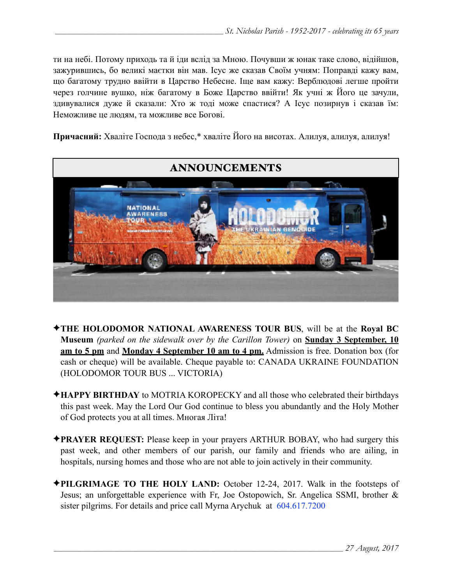ти на небі. Потому приходь та й іди вслід за Мною. Почувши ж юнак таке слово, відійшов, зажурившись, бо великі маєтки він мав. Ісус же сказав Своїм учням: Поправді кажу вам, що багатому трудно ввійти в Царство Небесне. Іще вам кажу: Верблюдові легше пройти через голчине вушко, ніж багатому в Боже Царство ввійти! Як учні ж Його це зачули, здивувалися дуже й сказали: Хто ж тоді може спастися? А Ісус позирнув і сказав їм: Неможливе це людям, та можливе все Богові.

**Причасний:** Хваліте Господа з небес,\* хваліте Його на висотах. Алилуя, алилуя, алилуя!



- ✦**THE HOLODOMOR NATIONAL AWARENESS TOUR BUS**, will be at the **Royal BC Museum** *(parked on the sidewalk over by the Carillon Tower)* on **Sunday 3 September, 10 am to 5 pm** and **Monday 4 September 10 am to 4 pm.** Admission is free. Donation box (for cash or cheque) will be available. Cheque payable to: CANADA UKRAINE FOUNDATION (HOLODOMOR TOUR BUS ... VICTORIA)
- ✦**HAPPY BIRTHDAY** to MOTRIA KOROPECKY and all those who celebrated their birthdays this past week. May the Lord Our God continue to bless you abundantly and the Holy Mother of God protects you at all times. Многая Літа!
- ✦**PRAYER REQUEST:** Please keep in your prayers ARTHUR BOBAY, who had surgery this past week, and other members of our parish, our family and friends who are ailing, in hospitals, nursing homes and those who are not able to join actively in their community.
- ✦**PILGRIMAGE TO THE HOLY LAND:** October 12-24, 2017. Walk in the footsteps of Jesus; an unforgettable experience with Fr, Joe Ostopowich, Sr. Angelica SSMI, brother & sister pilgrims. For details and price call Myrna Arychuk at 604.617.7200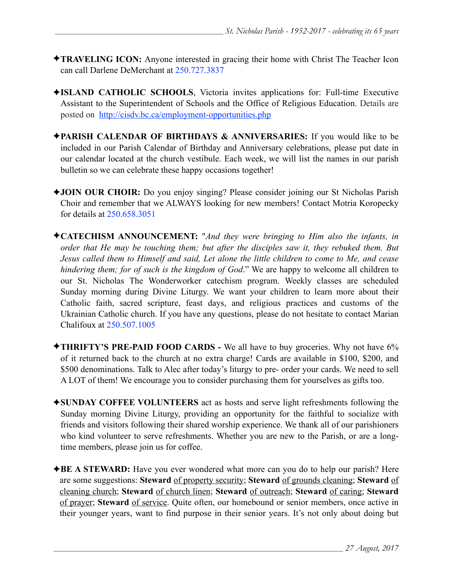- ✦**TRAVELING ICON:** Anyone interested in gracing their home with Christ The Teacher Icon can call Darlene DeMerchant at 250.727.3837
- ✦**ISLAND CATHOLIC SCHOOLS**, Victoria invites applications for: Full-time Executive Assistant to the Superintendent of Schools and the Office of Religious Education. Details are posted on <http://cisdv.bc.ca/employment-opportunities.php>
- ✦**PARISH CALENDAR OF BIRTHDAYS & ANNIVERSARIES:** If you would like to be included in our Parish Calendar of Birthday and Anniversary celebrations, please put date in our calendar located at the church vestibule. Each week, we will list the names in our parish bulletin so we can celebrate these happy occasions together!
- ✦**JOIN OUR CHOIR:** Do you enjoy singing? Please consider joining our St Nicholas Parish Choir and remember that we ALWAYS looking for new members! Contact Motria Koropecky for details at 250.658.3051
- ✦**CATECHISM ANNOUNCEMENT:** "*And they were bringing to Him also the infants, in order that He may be touching them; but after the disciples saw it, they rebuked them. But Jesus called them to Himself and said, Let alone the little children to come to Me, and cease hindering them; for of such is the kingdom of God*." We are happy to welcome all children to our St. Nicholas The Wonderworker catechism program. Weekly classes are scheduled Sunday morning during Divine Liturgy. We want your children to learn more about their Catholic faith, sacred scripture, feast days, and religious practices and customs of the Ukrainian Catholic church. If you have any questions, please do not hesitate to contact Marian Chalifoux at 250.507.1005
- ✦**THRIFTY'S PRE-PAID FOOD CARDS** We all have to buy groceries. Why not have 6% of it returned back to the church at no extra charge! Cards are available in \$100, \$200, and \$500 denominations. Talk to Alec after today's liturgy to pre- order your cards. We need to sell A LOT of them! We encourage you to consider purchasing them for yourselves as gifts too.
- ✦**SUNDAY COFFEE VOLUNTEERS** act as hosts and serve light refreshments following the Sunday morning Divine Liturgy, providing an opportunity for the faithful to socialize with friends and visitors following their shared worship experience. We thank all of our parishioners who kind volunteer to serve refreshments. Whether you are new to the Parish, or are a longtime members, please join us for coffee.
- ✦**BE A STEWARD:** Have you ever wondered what more can you do to help our parish? Here are some suggestions: **Steward** of property security; **Steward** of grounds cleaning; **Steward** of cleaning church; **Steward** of church linen; **Steward** of outreach; **Steward** of caring; **Steward** of prayer; **Steward** of service. Quite often, our homebound or senior members, once active in their younger years, want to find purpose in their senior years. It's not only about doing but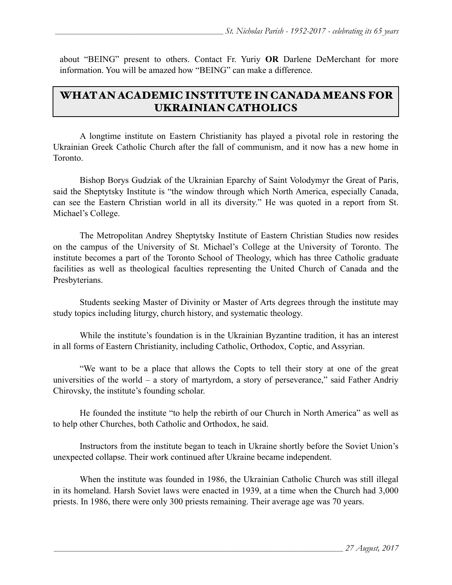about "BEING" present to others. Contact Fr. Yuriy **OR** Darlene DeMerchant for more information. You will be amazed how "BEING" can make a difference.

## WHAT AN ACADEMIC INSTITUTE IN CANADA MEANS FOR UKRAINIAN CATHOLICS

A longtime institute on Eastern Christianity has played a pivotal role in restoring the Ukrainian Greek Catholic Church after the fall of communism, and it now has a new home in Toronto.

 Bishop Borys Gudziak of the Ukrainian Eparchy of Saint Volodymyr the Great of Paris, said the [Sheptytsky Institute](http://www.sheptytskyinstitute.ca/) is "the window through which North America, especially Canada, can see the Eastern Christian world in all its diversity." He was quoted in [a report from St.](https://stmikes.utoronto.ca/spotlight/sheptytsky-comes-to-campus/)  [Michael's College.](https://stmikes.utoronto.ca/spotlight/sheptytsky-comes-to-campus/)

The Metropolitan Andrey Sheptytsky Institute of Eastern Christian Studies now resides on the campus of the University of St. Michael's College at the University of Toronto. The institute becomes a part of the Toronto School of Theology, which has three Catholic graduate facilities as well as theological faculties representing the United Church of Canada and the Presbyterians.

Students seeking Master of Divinity or Master of Arts degrees through the institute may study topics including liturgy, church history, and systematic theology.

While the institute's foundation is in the Ukrainian Byzantine tradition, it has an interest in all forms of Eastern Christianity, including Catholic, Orthodox, Coptic, and Assyrian.

 "We want to be a place that allows the Copts to tell their story at one of the great universities of the world  $-$  a story of martyrdom, a story of perseverance," said Father Andriy Chirovsky, the institute's founding scholar.

He founded the institute "to help the rebirth of our Church in North America" as well as to help other Churches, both Catholic and Orthodox, he said.

Instructors from the institute began to teach in Ukraine shortly before the Soviet Union's unexpected collapse. Their work continued after Ukraine became independent.

When the institute was founded in 1986, the Ukrainian Catholic Church was still illegal in its homeland. Harsh Soviet laws were enacted in 1939, at a time when the Church had 3,000 priests. In 1986, there were only 300 priests remaining. Their average age was 70 years.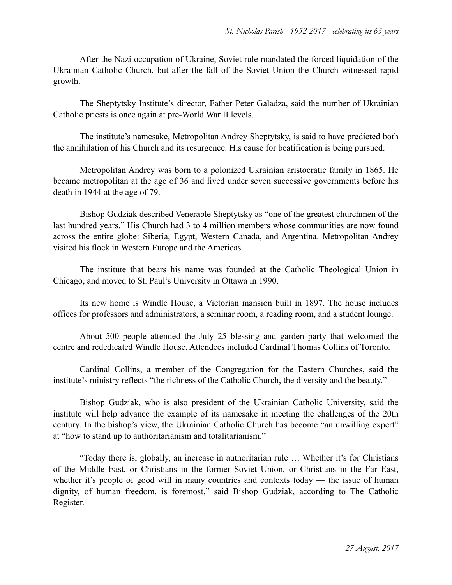After the Nazi occupation of Ukraine, Soviet rule mandated the forced liquidation of the Ukrainian Catholic Church, but after the fall of the Soviet Union the Church witnessed rapid growth.

The Sheptytsky Institute's director, Father Peter Galadza, said the number of Ukrainian Catholic priests is once again at pre-World War II levels.

The institute's namesake, Metropolitan Andrey Sheptytsky, is said to have predicted both the annihilation of his Church and its resurgence. His cause for beatification is being pursued.

Metropolitan Andrey was born to a polonized Ukrainian aristocratic family in 1865. He became metropolitan at the age of 36 and lived under seven successive governments before his death in 1944 at the age of 79.

Bishop Gudziak described Venerable Sheptytsky as "one of the greatest churchmen of the last hundred years." His Church had 3 to 4 million members whose communities are now found across the entire globe: Siberia, Egypt, Western Canada, and Argentina. Metropolitan Andrey visited his flock in Western Europe and the Americas.

The institute that bears his name was founded at the Catholic Theological Union in Chicago, and moved to St. Paul's University in Ottawa in 1990.

 Its new home is Windle House, a Victorian mansion built in 1897. The house includes offices for professors and administrators, a seminar room, a reading room, and a student lounge.

 About 500 people attended the July 25 blessing and garden party that welcomed the centre and rededicated Windle House. Attendees included Cardinal Thomas Collins of Toronto.

Cardinal Collins, a member of the Congregation for the Eastern Churches, said the institute's ministry reflects "the richness of the Catholic Church, the diversity and the beauty."

Bishop Gudziak, who is also president of the Ukrainian Catholic University, said the institute will help advance the example of its namesake in meeting the challenges of the 20th century. In the bishop's view, the Ukrainian Catholic Church has become "an unwilling expert" at "how to stand up to authoritarianism and totalitarianism."

"Today there is, globally, an increase in authoritarian rule … Whether it's for Christians of the Middle East, or Christians in the former Soviet Union, or Christians in the Far East, whether it's people of good will in many countries and contexts today — the issue of human dignity, of human freedom, is foremost," said Bishop Gudziak, according to The Catholic Register.